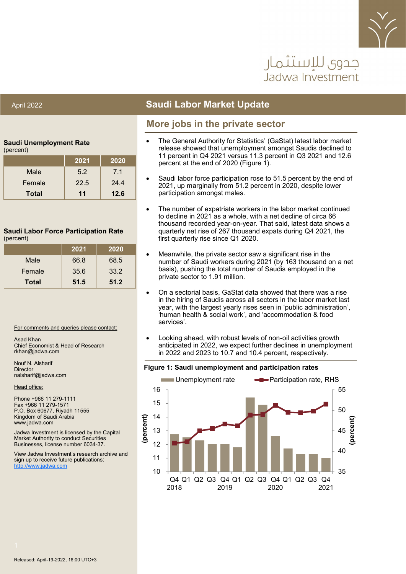

# حدوي للاستثمار Jadwa Investment

### April 2022 **Saudi Labor Market Update**

### **More jobs in the private sector**

#### **Saudi Unemployment Rate**

| (percent) |  |
|-----------|--|
|-----------|--|

|              | 2021 | 2020 |
|--------------|------|------|
| Male         | 5.2  | 7.1  |
| Female       | 22.5 | 24.4 |
| <b>Total</b> | 11   | 12.6 |

#### **Saudi Labor Force Participation Rate** (percent)

|              | 2021 | 2020 |
|--------------|------|------|
| Male         | 66.8 | 68.5 |
| Female       | 35.6 | 33.2 |
| <b>Total</b> | 51.5 | 51.2 |

#### For comments and queries please contact:

Asad Khan Chief Economist & Head of Research rkhan@jadwa.com

Nouf N. Alsharif Director nalsharif@jadwa.com

Head office:

Phone +966 11 279-1111 Fax +966 11 279-1571 P.O. Box 60677, Riyadh 11555 Kingdom of Saudi Arabia www.jadwa.com

Jadwa Investment is licensed by the Capital Market Authority to conduct Securities Businesses, license number 6034-37.

View Jadwa Investment's research archive and sign up to receive future publications: <http://www.jadwa.com>

- The General Authority for Statistics' (GaStat) latest labor market release showed that unemployment amongst Saudis declined to 11 percent in Q4 2021 versus 11.3 percent in Q3 2021 and 12.6 percent at the end of 2020 (Figure 1).
- Saudi labor force participation rose to 51.5 percent by the end of 2021, up marginally from 51.2 percent in 2020, despite lower participation amongst males.
- The number of expatriate workers in the labor market continued to decline in 2021 as a whole, with a net decline of circa 66 thousand recorded year-on-year. That said, latest data shows a quarterly net rise of 267 thousand expats during Q4 2021, the first quarterly rise since Q1 2020.
- Meanwhile, the private sector saw a significant rise in the number of Saudi workers during 2021 (by 163 thousand on a net basis), pushing the total number of Saudis employed in the private sector to 1.91 million.
- On a sectorial basis, GaStat data showed that there was a rise in the hiring of Saudis across all sectors in the labor market last year, with the largest yearly rises seen in 'public administration', 'human health & social work', and 'accommodation & food services'.
- Looking ahead, with robust levels of non-oil activities growth anticipated in 2022, we expect further declines in unemployment in 2022 and 2023 to 10.7 and 10.4 percent, respectively.



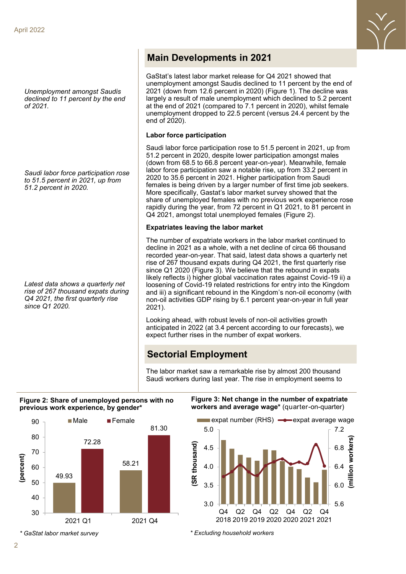*Unemployment amongst Saudis declined to 11 percent by the end of 2021.* 

*Saudi labor force participation rose to 51.5 percent in 2021, up from 51.2 percent in 2020.*

*Latest data shows a quarterly net rise of 267 thousand expats during Q4 2021, the first quarterly rise since Q1 2020.* 

### **Main Developments in 2021**

GaStat's latest labor market release for Q4 2021 showed that unemployment amongst Saudis declined to 11 percent by the end of 2021 (down from 12.6 percent in 2020) (Figure 1). The decline was largely a result of male unemployment which declined to 5.2 percent at the end of 2021 (compared to 7.1 percent in 2020), whilst female unemployment dropped to 22.5 percent (versus 24.4 percent by the end of 2020).

#### **Labor force participation**

Saudi labor force participation rose to 51.5 percent in 2021, up from 51.2 percent in 2020, despite lower participation amongst males (down from 68.5 to 66.8 percent year-on-year). Meanwhile, female labor force participation saw a notable rise, up from 33.2 percent in 2020 to 35.6 percent in 2021. Higher participation from Saudi females is being driven by a larger number of first time job seekers. More specifically, Gastat's labor market survey showed that the share of unemployed females with no previous work experience rose rapidly during the year, from 72 percent in Q1 2021, to 81 percent in Q4 2021, amongst total unemployed females (Figure 2).

#### **Expatriates leaving the labor market**

The number of expatriate workers in the labor market continued to decline in 2021 as a whole, with a net decline of circa 66 thousand recorded year-on-year. That said, latest data shows a quarterly net rise of 267 thousand expats during Q4 2021, the first quarterly rise since Q1 2020 (Figure 3). We believe that the rebound in expats likely reflects i) higher global vaccination rates against Covid-19 ii) a loosening of Covid-19 related restrictions for entry into the Kingdom and iii) a significant rebound in the Kingdom's non-oil economy (with non-oil activities GDP rising by 6.1 percent year-on-year in full year 2021).

Looking ahead, with robust levels of non-oil activities growth anticipated in 2022 (at 3.4 percent according to our forecasts), we expect further rises in the number of expat workers.

## **Sectorial Employment**

The labor market saw a remarkable rise by almost 200 thousand Saudi workers during last year. The rise in employment seems to

#### **Figure 2: Share of unemployed persons with no previous work experience, by gender\***



**Figure 3: Net change in the number of expatriate workers and average wage\*** (quarter-on-quarter)

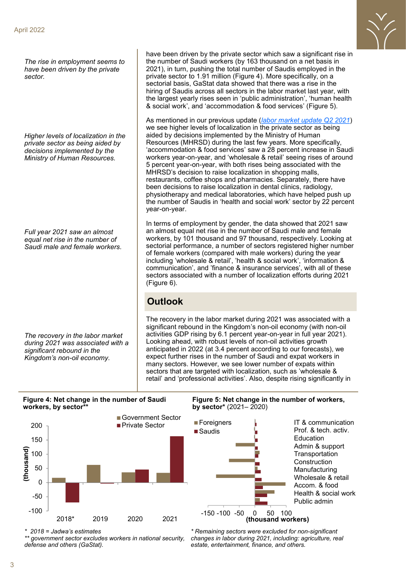*The rise in employment seems to have been driven by the private sector.* 

*Higher levels of localization in the private sector as being aided by decisions implemented by the Ministry of Human Resources.* 

*Full year 2021 saw an almost equal net rise in the number of Saudi male and female workers.* 

*The recovery in the labor market during 2021 was associated with a significant rebound in the Kingdom's non-oil economy.* 

have been driven by the private sector which saw a significant rise in the number of Saudi workers (by 163 thousand on a net basis in 2021), in turn, pushing the total number of Saudis employed in the private sector to 1.91 million (Figure 4). More specifically, on a sectorial basis, GaStat data showed that there was a rise in the hiring of Saudis across all sectors in the labor market last year, with the largest yearly rises seen in 'public administration', 'human health & social work', and 'accommodation & food services' (Figure 5).

As mentioned in our previous update (*[labor market update Q2 2021](https://jadwa.com/en/node/14604)*) we see higher levels of localization in the private sector as being aided by decisions implemented by the Ministry of Human Resources (MHRSD) during the last few years. More specifically, 'accommodation & food services' saw a 28 percent increase in Saudi workers year-on-year, and 'wholesale & retail' seeing rises of around 5 percent year-on-year, with both rises being associated with the MHRSD's decision to raise localization in shopping malls, restaurants, coffee shops and pharmacies. Separately, there have been decisions to raise localization in dental clinics, radiology, physiotherapy and medical laboratories, which have helped push up the number of Saudis in 'health and social work' sector by 22 percent year-on-year.

In terms of employment by gender, the data showed that 2021 saw an almost equal net rise in the number of Saudi male and female workers, by 101 thousand and 97 thousand, respectively. Looking at sectorial performance, a number of sectors registered higher number of female workers (compared with male workers) during the year including 'wholesale & retail', 'health & social work', 'information & communication', and 'finance & insurance services', with all of these sectors associated with a number of localization efforts during 2021 (Figure 6).

## **Outlook**

The recovery in the labor market during 2021 was associated with a significant rebound in the Kingdom's non-oil economy (with non-oil activities GDP rising by 6.1 percent year-on-year in full year 2021). Looking ahead, with robust levels of non-oil activities growth anticipated in 2022 (at 3.4 percent according to our forecasts), we expect further rises in the number of Saudi and expat workers in many sectors. However, we see lower number of expats within sectors that are targeted with localization, such as 'wholesale & retail' and 'professional activities'. Also, despite rising significantly in

**Figure 4: Net change in the number of Saudi workers, by sector\*\***



*\* 2018 = Jadwa's estimates*

*\*\* government sector excludes workers in national security, defense and others (GaStat).* 

**Figure 5: Net change in the number of workers, by sector\*** (2021– 2020)



*\* Remaining sectors were excluded for non-significant changes in labor during 2021, including: agriculture, real estate, entertainment, finance, and others.*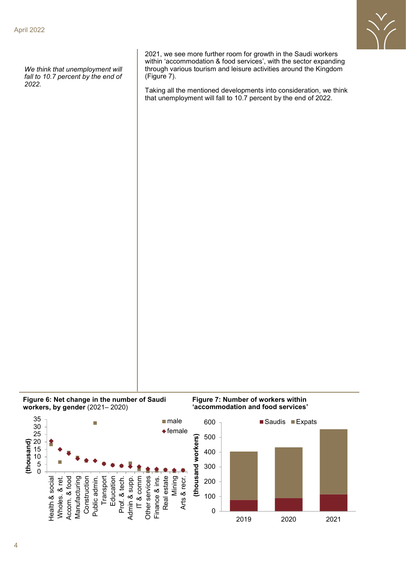

*We think that unemployment will fall to 10.7 percent by the end of 2022.* 

2021, we see more further room for growth in the Saudi workers within 'accommodation & food services', with the sector expanding through various tourism and leisure activities around the Kingdom (Figure 7).

Taking all the mentioned developments into consideration, we think that unemployment will fall to 10.7 percent by the end of 2022.